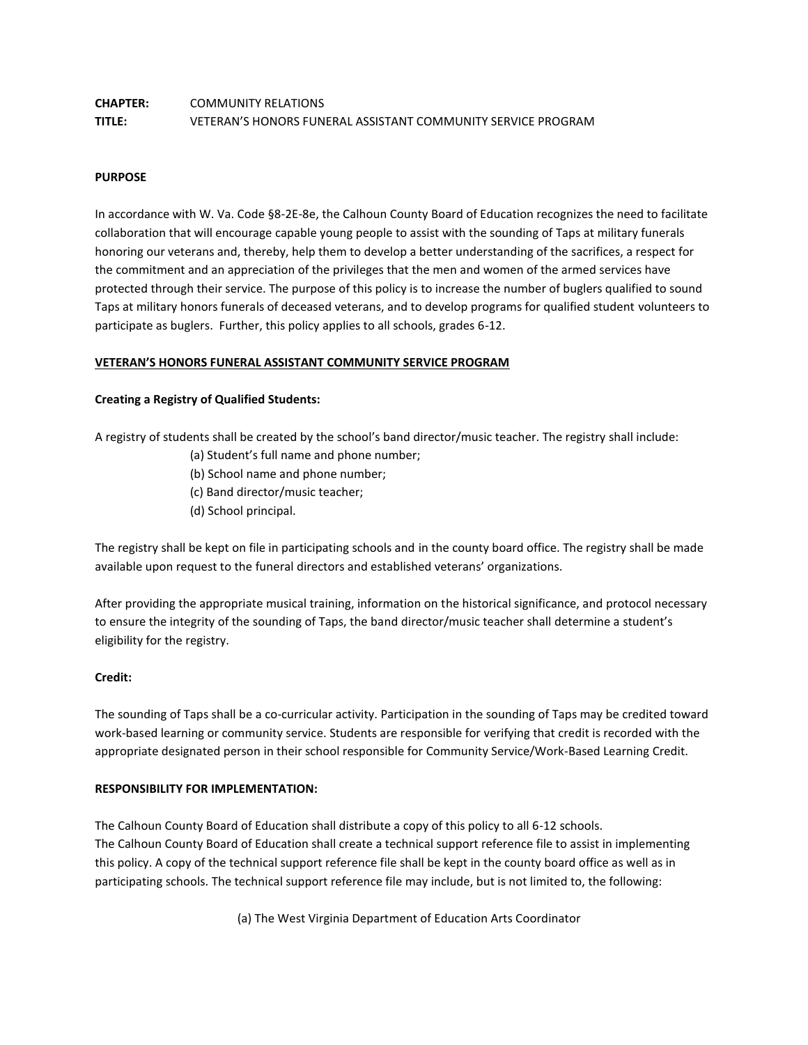# **CHAPTER:** COMMUNITY RELATIONS **TITLE:** VETERAN'S HONORS FUNERAL ASSISTANT COMMUNITY SERVICE PROGRAM

## **PURPOSE**

In accordance with W. Va. Code §8-2E-8e, the Calhoun County Board of Education recognizes the need to facilitate collaboration that will encourage capable young people to assist with the sounding of Taps at military funerals honoring our veterans and, thereby, help them to develop a better understanding of the sacrifices, a respect for the commitment and an appreciation of the privileges that the men and women of the armed services have protected through their service. The purpose of this policy is to increase the number of buglers qualified to sound Taps at military honors funerals of deceased veterans, and to develop programs for qualified student volunteers to participate as buglers. Further, this policy applies to all schools, grades 6-12.

## **VETERAN'S HONORS FUNERAL ASSISTANT COMMUNITY SERVICE PROGRAM**

## **Creating a Registry of Qualified Students:**

A registry of students shall be created by the school's band director/music teacher. The registry shall include:

- (a) Student's full name and phone number;
- (b) School name and phone number;
- (c) Band director/music teacher;
- (d) School principal.

The registry shall be kept on file in participating schools and in the county board office. The registry shall be made available upon request to the funeral directors and established veterans' organizations.

After providing the appropriate musical training, information on the historical significance, and protocol necessary to ensure the integrity of the sounding of Taps, the band director/music teacher shall determine a student's eligibility for the registry.

## **Credit:**

The sounding of Taps shall be a co-curricular activity. Participation in the sounding of Taps may be credited toward work-based learning or community service. Students are responsible for verifying that credit is recorded with the appropriate designated person in their school responsible for Community Service/Work-Based Learning Credit.

#### **RESPONSIBILITY FOR IMPLEMENTATION:**

The Calhoun County Board of Education shall distribute a copy of this policy to all 6-12 schools. The Calhoun County Board of Education shall create a technical support reference file to assist in implementing this policy. A copy of the technical support reference file shall be kept in the county board office as well as in participating schools. The technical support reference file may include, but is not limited to, the following:

(a) The West Virginia Department of Education Arts Coordinator